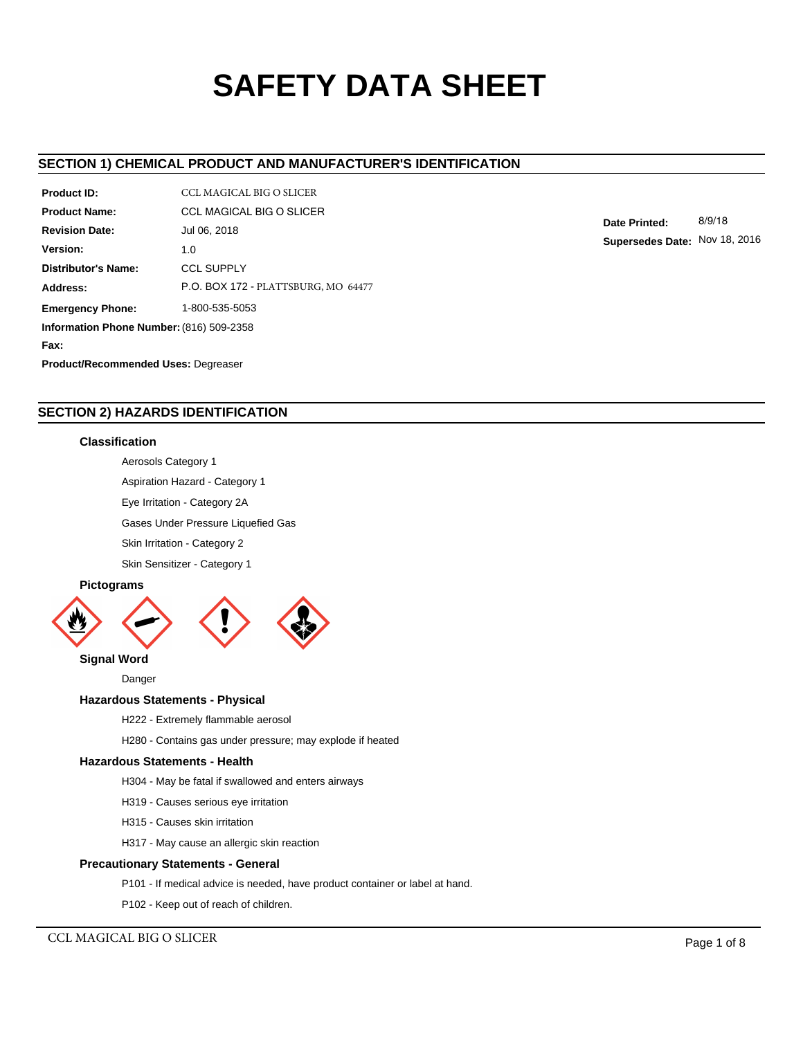# **SAFETY DATA SHEET**

## **SECTION 1) CHEMICAL PRODUCT AND MANUFACTURER'S IDENTIFICATION**

| Product ID:                                | CCL MAGICAL BIG O SLICER            |  |  |  |  |
|--------------------------------------------|-------------------------------------|--|--|--|--|
| <b>Product Name:</b>                       | <b>CCL MAGICAL BIG O SLICER</b>     |  |  |  |  |
| <b>Revision Date:</b>                      | Jul 06, 2018                        |  |  |  |  |
| Version:                                   | 1.0                                 |  |  |  |  |
| Distributor's Name:                        | <b>CCL SUPPLY</b>                   |  |  |  |  |
| Address:                                   | P.O. BOX 172 - PLATTSBURG, MO 64477 |  |  |  |  |
| 1-800-535-5053<br><b>Emergency Phone:</b>  |                                     |  |  |  |  |
| Information Phone Number: (816) 509-2358   |                                     |  |  |  |  |
| Fax:                                       |                                     |  |  |  |  |
| <b>Product/Recommended Uses: Degreaser</b> |                                     |  |  |  |  |

**Date Printed:** 8/9/18 **Supersedes Date:** Nov 18, 2016

# **SECTION 2) HAZARDS IDENTIFICATION**

#### **Classification**

Aerosols Category 1

Aspiration Hazard - Category 1

Eye Irritation - Category 2A

Gases Under Pressure Liquefied Gas

Skin Irritation - Category 2

Skin Sensitizer - Category 1

# **Pictograms**



**Signal Word**

## Danger

## **Hazardous Statements - Physical**

H222 - Extremely flammable aerosol

H280 - Contains gas under pressure; may explode if heated

#### **Hazardous Statements - Health**

H304 - May be fatal if swallowed and enters airways

- H319 Causes serious eye irritation
- H315 Causes skin irritation
- H317 May cause an allergic skin reaction

## **Precautionary Statements - General**

- P101 If medical advice is needed, have product container or label at hand.
- P102 Keep out of reach of children.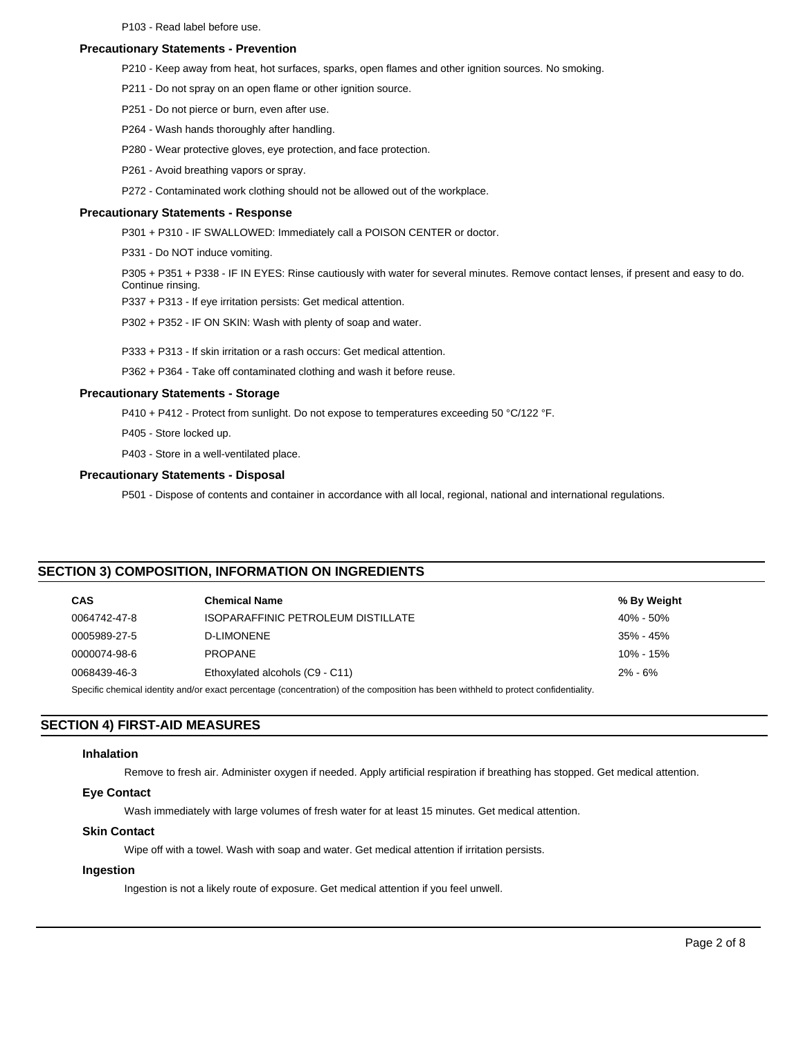P103 - Read label before use.

#### **Precautionary Statements - Prevention**

- P210 Keep away from heat, hot surfaces, sparks, open flames and other ignition sources. No smoking.
- P211 Do not spray on an open flame or other ignition source.
- P251 Do not pierce or burn, even after use.
- P264 Wash hands thoroughly after handling.
- P280 Wear protective gloves, eye protection, and face protection.
- P261 Avoid breathing vapors or spray.
- P272 Contaminated work clothing should not be allowed out of the workplace.

#### **Precautionary Statements - Response**

- P301 + P310 IF SWALLOWED: Immediately call a POISON CENTER or doctor.
- P331 Do NOT induce vomiting.

P305 + P351 + P338 - IF IN EYES: Rinse cautiously with water for several minutes. Remove contact lenses, if present and easy to do. Continue rinsing.

P337 + P313 - If eye irritation persists: Get medical attention.

P302 + P352 - IF ON SKIN: Wash with plenty of soap and water.

P333 + P313 - If skin irritation or a rash occurs: Get medical attention.

P362 + P364 - Take off contaminated clothing and wash it before reuse.

#### **Precautionary Statements - Storage**

P410 + P412 - Protect from sunlight. Do not expose to temperatures exceeding 50 °C/122 °F.

P405 - Store locked up.

P403 - Store in a well-ventilated place.

## **Precautionary Statements - Disposal**

P501 - Dispose of contents and container in accordance with all local, regional, national and international regulations.

## **SECTION 3) COMPOSITION, INFORMATION ON INGREDIENTS**

| <b>CAS</b>                                                                                                                          | <b>Chemical Name</b>               | % By Weight   |  |  |
|-------------------------------------------------------------------------------------------------------------------------------------|------------------------------------|---------------|--|--|
| 0064742-47-8                                                                                                                        | ISOPARAFFINIC PETROLEUM DISTILLATE | $40\% - 50\%$ |  |  |
| 0005989-27-5                                                                                                                        | <b>D-LIMONENE</b>                  | $35\% - 45\%$ |  |  |
| 0000074-98-6                                                                                                                        | <b>PROPANE</b>                     | $10\% - 15\%$ |  |  |
| 0068439-46-3                                                                                                                        | Ethoxylated alcohols (C9 - C11)    | $2\% - 6\%$   |  |  |
| Specific chemical identity and/or exact percentage (concentration) of the composition has been withheld to protect confidentiality. |                                    |               |  |  |

## **SECTION 4) FIRST-AID MEASURES**

#### **Inhalation**

Remove to fresh air. Administer oxygen if needed. Apply artificial respiration if breathing has stopped. Get medical attention.

## **Eye Contact**

Wash immediately with large volumes of fresh water for at least 15 minutes. Get medical attention.

#### **Skin Contact**

Wipe off with a towel. Wash with soap and water. Get medical attention if irritation persists.

#### **Ingestion**

Ingestion is not a likely route of exposure. Get medical attention if you feel unwell.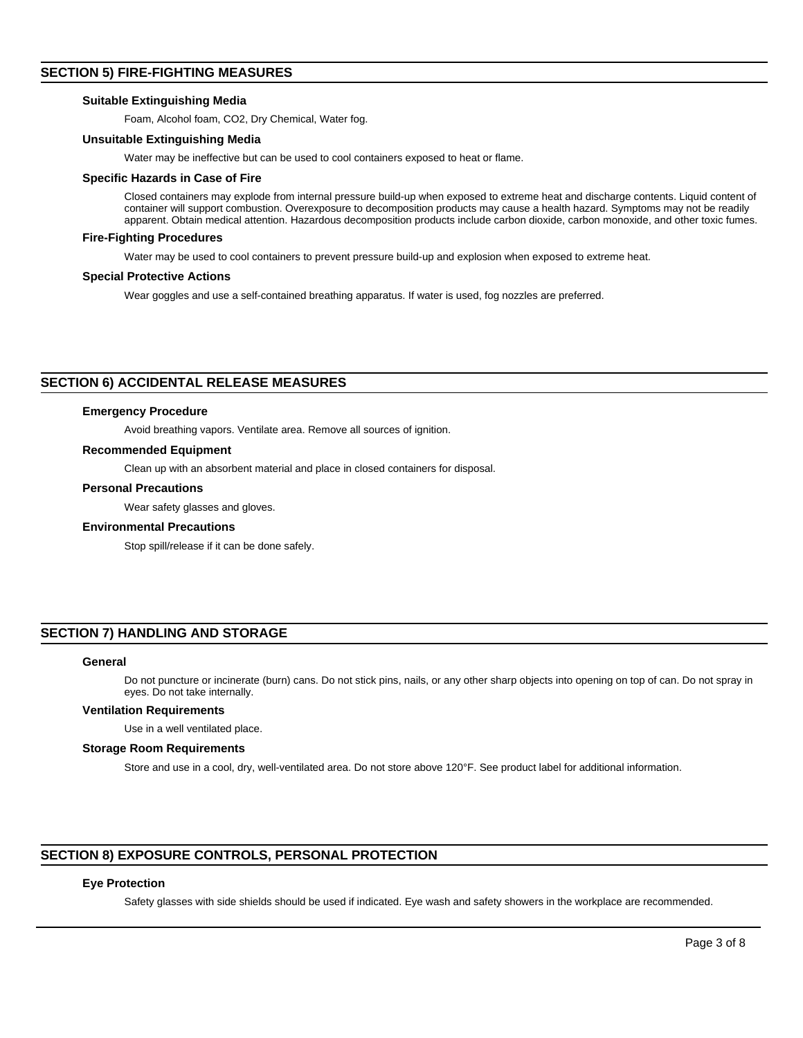## **SECTION 5) FIRE-FIGHTING MEASURES**

## **Suitable Extinguishing Media**

Foam, Alcohol foam, CO2, Dry Chemical, Water fog.

#### **Unsuitable Extinguishing Media**

Water may be ineffective but can be used to cool containers exposed to heat or flame.

#### **Specific Hazards in Case of Fire**

Closed containers may explode from internal pressure build-up when exposed to extreme heat and discharge contents. Liquid content of container will support combustion. Overexposure to decomposition products may cause a health hazard. Symptoms may not be readily apparent. Obtain medical attention. Hazardous decomposition products include carbon dioxide, carbon monoxide, and other toxic fumes.

#### **Fire-Fighting Procedures**

Water may be used to cool containers to prevent pressure build-up and explosion when exposed to extreme heat.

#### **Special Protective Actions**

Wear goggles and use a self-contained breathing apparatus. If water is used, fog nozzles are preferred.

## **SECTION 6) ACCIDENTAL RELEASE MEASURES**

#### **Emergency Procedure**

Avoid breathing vapors. Ventilate area. Remove all sources of ignition.

#### **Recommended Equipment**

Clean up with an absorbent material and place in closed containers for disposal.

#### **Personal Precautions**

Wear safety glasses and gloves.

#### **Environmental Precautions**

Stop spill/release if it can be done safely.

## **SECTION 7) HANDLING AND STORAGE**

#### **General**

Do not puncture or incinerate (burn) cans. Do not stick pins, nails, or any other sharp objects into opening on top of can. Do not spray in eyes. Do not take internally.

#### **Ventilation Requirements**

Use in a well ventilated place.

#### **Storage Room Requirements**

Store and use in a cool, dry, well-ventilated area. Do not store above 120°F. See product label for additional information.

## **SECTION 8) EXPOSURE CONTROLS, PERSONAL PROTECTION**

#### **Eye Protection**

Safety glasses with side shields should be used if indicated. Eye wash and safety showers in the workplace are recommended.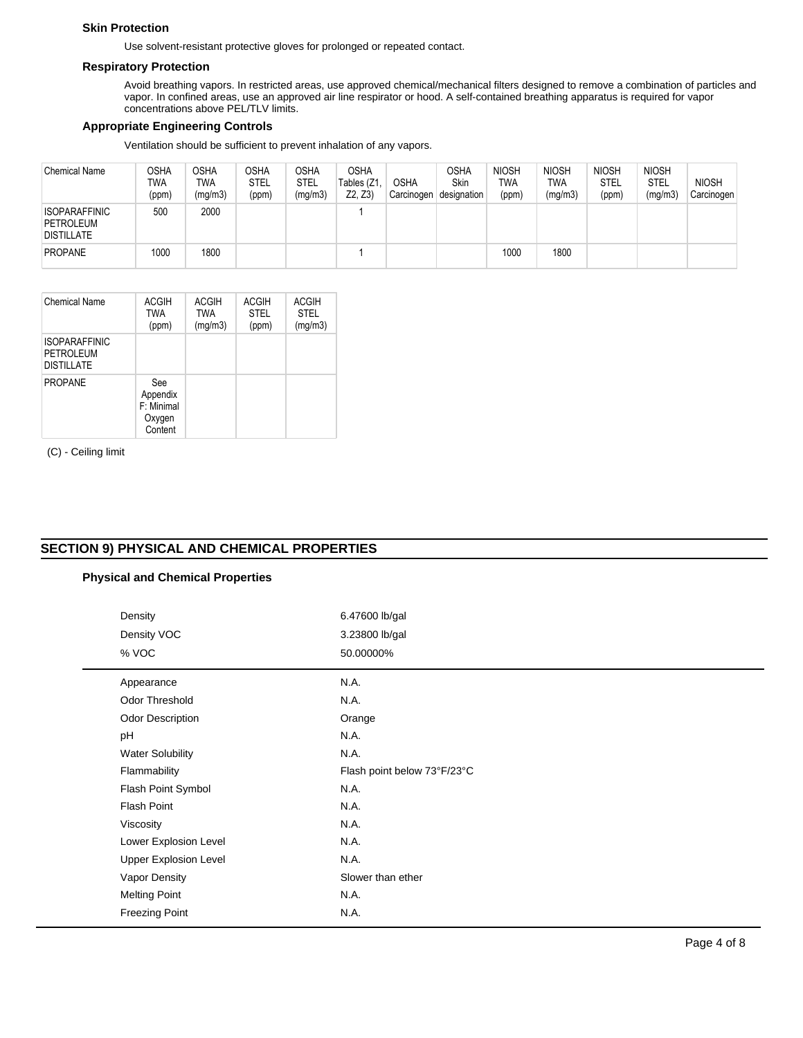## **Skin Protection**

Use solvent-resistant protective gloves for prolonged or repeated contact.

#### **Respiratory Protection**

Avoid breathing vapors. In restricted areas, use approved chemical/mechanical filters designed to remove a combination of particles and vapor. In confined areas, use an approved air line respirator or hood. A self-contained breathing apparatus is required for vapor concentrations above PEL/TLV limits.

## **Appropriate Engineering Controls**

Ventilation should be sufficient to prevent inhalation of any vapors.

| <b>Chemical Name</b>                                   | OSHA<br>TWA<br>(ppm) | <b>OSHA</b><br><b>TWA</b><br>(mg/m3) | <b>OSHA</b><br><b>STEL</b><br>(ppm) | OSHA<br><b>STEL</b><br>(mg/m3) | <b>OSHA</b><br>Tables (Z1<br>Z2, Z3 | <b>OSHA</b><br>Carcinogen | OSHA<br>Skin<br>designation | <b>NIOSH</b><br><b>TWA</b><br>(ppm) | <b>NIOSH</b><br><b>TWA</b><br>(mg/m3) | <b>NIOSH</b><br><b>STEL</b><br>(ppm) | <b>NIOSH</b><br><b>STEL</b><br>(mg/m3) | <b>NIOSH</b><br>Carcinogen |
|--------------------------------------------------------|----------------------|--------------------------------------|-------------------------------------|--------------------------------|-------------------------------------|---------------------------|-----------------------------|-------------------------------------|---------------------------------------|--------------------------------------|----------------------------------------|----------------------------|
| <b>ISOPARAFFINIC</b><br>PETROLEUM<br><b>DISTILLATE</b> | 500                  | 2000                                 |                                     |                                |                                     |                           |                             |                                     |                                       |                                      |                                        |                            |
| <b>PROPANE</b>                                         | 1000                 | 1800                                 |                                     |                                |                                     |                           |                             | 1000                                | 1800                                  |                                      |                                        |                            |

| Chemical Name                                                        | <b>ACGIH</b><br><b>TWA</b><br>(ppm) | ACGIH<br><b>TWA</b><br>(mg/m3) | ACGIH<br><b>STEL</b><br>(ppm) | ACGIH<br><b>STEL</b><br>(mg/m3) |
|----------------------------------------------------------------------|-------------------------------------|--------------------------------|-------------------------------|---------------------------------|
| <b>ISOPARAFFINIC</b><br>PETROLEUM<br><b>DISTILLATE</b>               |                                     |                                |                               |                                 |
| <b>PROPANE</b><br>See<br>Appendix<br>F: Minimal<br>Oxygen<br>Content |                                     |                                |                               |                                 |

(C) - Ceiling limit

# **SECTION 9) PHYSICAL AND CHEMICAL PROPERTIES**

## **Physical and Chemical Properties**

| Density                      | 6.47600 lb/gal              |
|------------------------------|-----------------------------|
| Density VOC                  | 3.23800 lb/gal              |
| % VOC                        | 50.00000%                   |
| Appearance                   | N.A.                        |
| Odor Threshold               | N.A.                        |
| <b>Odor Description</b>      | Orange                      |
| pH                           | N.A.                        |
| <b>Water Solubility</b>      | N.A.                        |
| Flammability                 | Flash point below 73°F/23°C |
| Flash Point Symbol           | N.A.                        |
| Flash Point                  | N.A.                        |
| Viscosity                    | N.A.                        |
| Lower Explosion Level        | N.A.                        |
| <b>Upper Explosion Level</b> | N.A.                        |
| Vapor Density                | Slower than ether           |
| <b>Melting Point</b>         | N.A.                        |
| <b>Freezing Point</b>        | N.A.                        |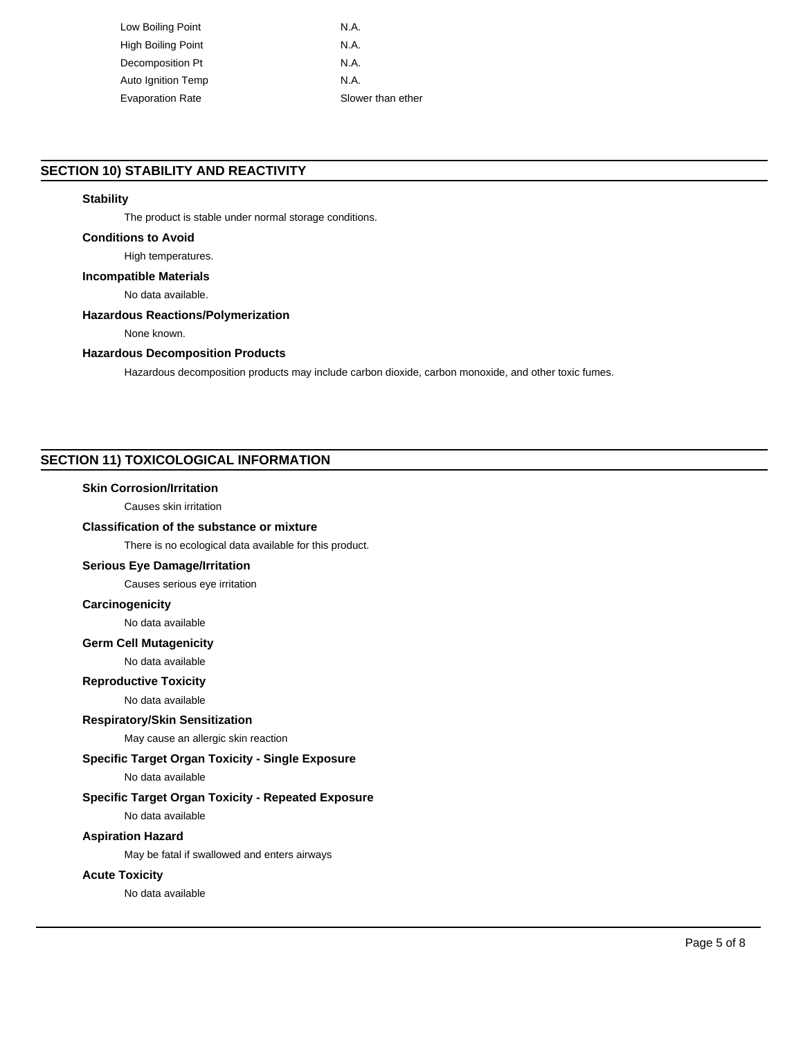| Low Boiling Point         | N.A.              |
|---------------------------|-------------------|
| High Boiling Point        | N.A.              |
| Decomposition Pt          | N.A.              |
| <b>Auto Ignition Temp</b> | N.A.              |
| <b>Evaporation Rate</b>   | Slower than ether |

## **SECTION 10) STABILITY AND REACTIVITY**

#### **Stability**

The product is stable under normal storage conditions.

## **Conditions to Avoid**

## High temperatures.

**Incompatible Materials**

No data available.

#### **Hazardous Reactions/Polymerization**

None known.

## **Hazardous Decomposition Products**

Hazardous decomposition products may include carbon dioxide, carbon monoxide, and other toxic fumes.

## **SECTION 11) TOXICOLOGICAL INFORMATION**

#### **Skin Corrosion/Irritation**

Causes skin irritation

## **Classification of the substance or mixture**

There is no ecological data available for this product.

#### **Serious Eye Damage/Irritation**

Causes serious eye irritation

#### **Carcinogenicity**

No data available

#### **Germ Cell Mutagenicity**

No data available

#### **Reproductive Toxicity**

No data available

## **Respiratory/Skin Sensitization**

May cause an allergic skin reaction

## **Specific Target Organ Toxicity - Single Exposure**

No data available

## **Specific Target Organ Toxicity - Repeated Exposure**

No data available

## **Aspiration Hazard**

May be fatal if swallowed and enters airways

## **Acute Toxicity**

No data available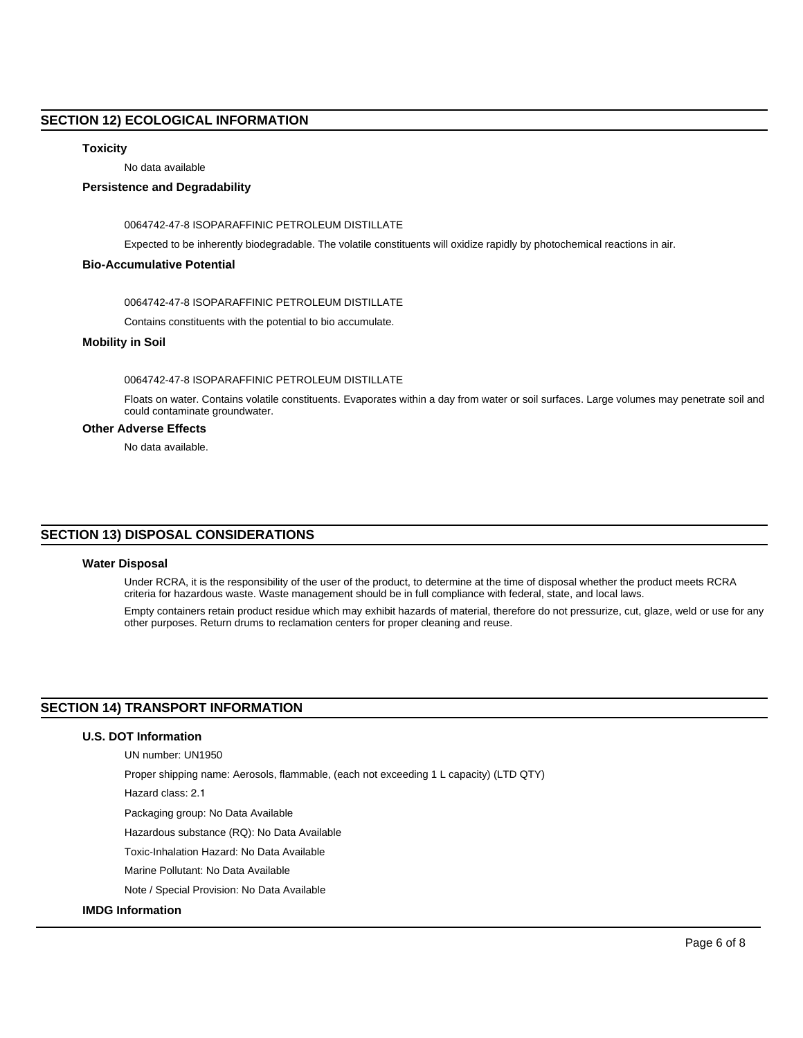## **SECTION 12) ECOLOGICAL INFORMATION**

## **Toxicity**

No data available

## **Persistence and Degradability**

0064742-47-8 ISOPARAFFINIC PETROLEUM DISTILLATE

Expected to be inherently biodegradable. The volatile constituents will oxidize rapidly by photochemical reactions in air.

#### **Bio-Accumulative Potential**

0064742-47-8 ISOPARAFFINIC PETROLEUM DISTILLATE

Contains constituents with the potential to bio accumulate.

#### **Mobility in Soil**

#### 0064742-47-8 ISOPARAFFINIC PETROLEUM DISTILLATE

Floats on water. Contains volatile constituents. Evaporates within a day from water or soil surfaces. Large volumes may penetrate soil and could contaminate groundwater.

## **Other Adverse Effects**

No data available.

## **SECTION 13) DISPOSAL CONSIDERATIONS**

## **Water Disposal**

Under RCRA, it is the responsibility of the user of the product, to determine at the time of disposal whether the product meets RCRA criteria for hazardous waste. Waste management should be in full compliance with federal, state, and local laws.

Empty containers retain product residue which may exhibit hazards of material, therefore do not pressurize, cut, glaze, weld or use for any other purposes. Return drums to reclamation centers for proper cleaning and reuse.

## **SECTION 14) TRANSPORT INFORMATION**

## **U.S. DOT Information**

UN number: UN1950

Proper shipping name: Aerosols, flammable, (each not exceeding 1 L capacity) (LTD QTY)

Hazard class: 2.1

Packaging group: No Data Available

Hazardous substance (RQ): No Data Available

Toxic-Inhalation Hazard: No Data Available

Marine Pollutant: No Data Available

Note / Special Provision: No Data Available

## **IMDG Information**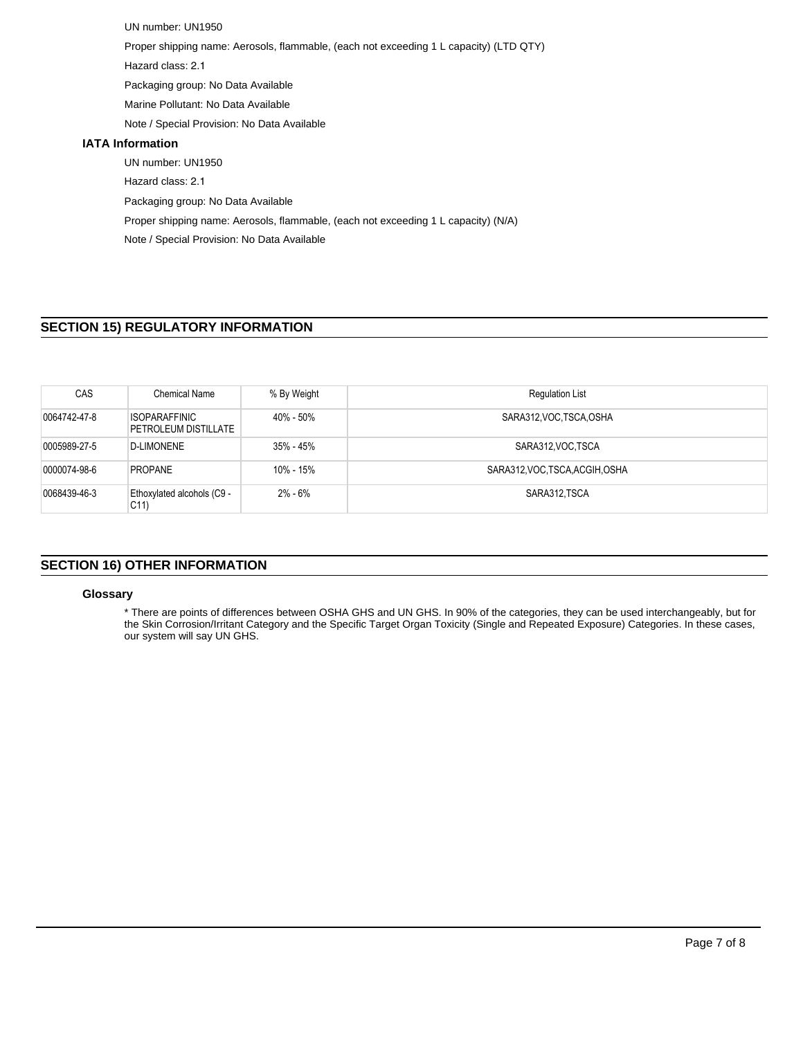UN number: UN1950 Proper shipping name: Aerosols, flammable, (each not exceeding 1 L capacity) (LTD QTY) Hazard class: 2.1 Packaging group: No Data Available Marine Pollutant: No Data Available Note / Special Provision: No Data Available **IATA Information** UN number: UN1950 Hazard class: 2.1 Packaging group: No Data Available Proper shipping name: Aerosols, flammable, (each not exceeding 1 L capacity) (N/A) Note / Special Provision: No Data Available

# **SECTION 15) REGULATORY INFORMATION**

| CAS          | Chemical Name                                 | % By Weight | <b>Regulation List</b>          |
|--------------|-----------------------------------------------|-------------|---------------------------------|
| 0064742-47-8 | ISOPARAFFINIC<br>PETROLEUM DISTILLATE         | 40% - 50%   | SARA312, VOC, TSCA, OSHA        |
| 0005989-27-5 | <b>D-LIMONENE</b>                             | 35% - 45%   | SARA312, VOC TSCA               |
| 0000074-98-6 | <b>PROPANE</b>                                | 10% - 15%   | SARA312, VOC, TSCA, ACGIH, OSHA |
| 0068439-46-3 | Ethoxylated alcohols (C9 -<br>C <sub>11</sub> | 2% - 6%     | SARA312, TSCA                   |

## **SECTION 16) OTHER INFORMATION**

## **Glossary**

\* There are points of differences between OSHA GHS and UN GHS. In 90% of the categories, they can be used interchangeably, but for the Skin Corrosion/Irritant Category and the Specific Target Organ Toxicity (Single and Repeated Exposure) Categories. In these cases, our system will say UN GHS.